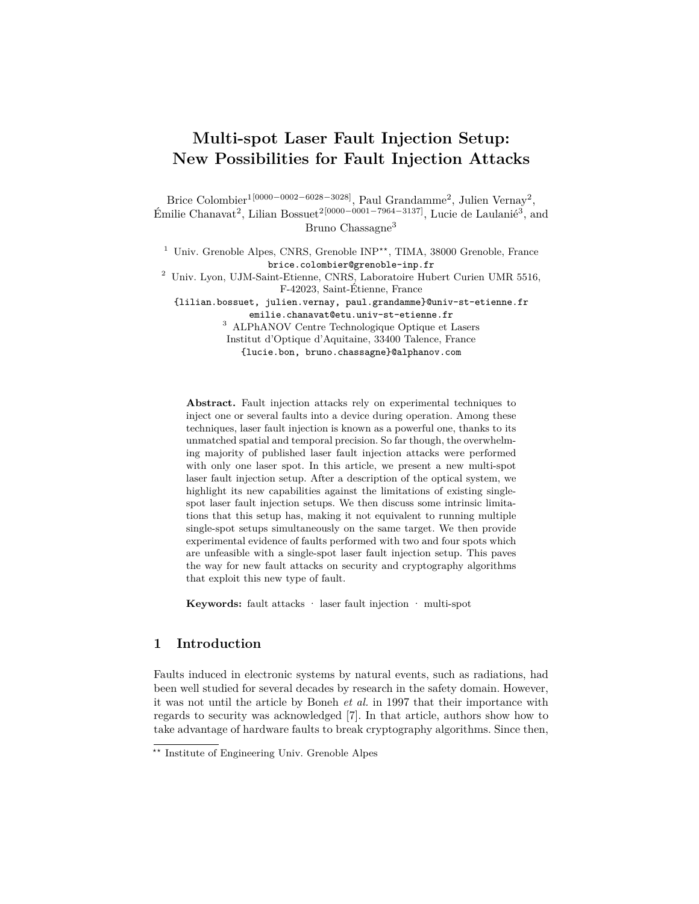# **Multi-spot Laser Fault Injection Setup: New Possibilities for Fault Injection Attacks**

Brice Colombier<sup>1[0000–0002–6028–3028]</sup>, Paul Grandamme<sup>2</sup>, Julien Vernay<sup>2</sup>, Émilie Chanavat<sup>2</sup>, Lilian Bossuet<sup>2</sup><sup>[0000–0001–7964–3137]</sup>, Lucie de Laulanié<sup>3</sup>, and Bruno Chassagne<sup>3</sup>

<sup>1</sup> Univ. Grenoble Alpes, CNRS, Grenoble INP<sup>\*\*</sup>, TIMA, 38000 Grenoble, France brice.colombier@grenoble-inp.fr  $^2\,$  Univ. Lyon, UJM-Saint-Etienne, CNRS, Laboratoire Hubert Curien UMR 5516, F-42023, Saint-Étienne, France {lilian.bossuet, julien.vernay, paul.grandamme}@univ-st-etienne.fr emilie.chanavat@etu.univ-st-etienne.fr

<sup>3</sup> ALPhANOV Centre Technologique Optique et Lasers Institut d'Optique d'Aquitaine, 33400 Talence, France {lucie.bon, bruno.chassagne}@alphanov.com

**Abstract.** Fault injection attacks rely on experimental techniques to inject one or several faults into a device during operation. Among these techniques, laser fault injection is known as a powerful one, thanks to its unmatched spatial and temporal precision. So far though, the overwhelming majority of published laser fault injection attacks were performed with only one laser spot. In this article, we present a new multi-spot laser fault injection setup. After a description of the optical system, we highlight its new capabilities against the limitations of existing singlespot laser fault injection setups. We then discuss some intrinsic limitations that this setup has, making it not equivalent to running multiple single-spot setups simultaneously on the same target. We then provide experimental evidence of faults performed with two and four spots which are unfeasible with a single-spot laser fault injection setup. This paves the way for new fault attacks on security and cryptography algorithms that exploit this new type of fault.

**Keywords:** fault attacks · laser fault injection · multi-spot

# **1 Introduction**

Faults induced in electronic systems by natural events, such as radiations, had been well studied for several decades by research in the safety domain. However, it was not until the article by Boneh *et al.* in 1997 that their importance with regards to security was acknowledged [7]. In that article, authors show how to take advantage of hardware faults to break cryptography algorithms. Since then,

*<sup>??</sup>* Institute of Engineering Univ. Grenoble Alpes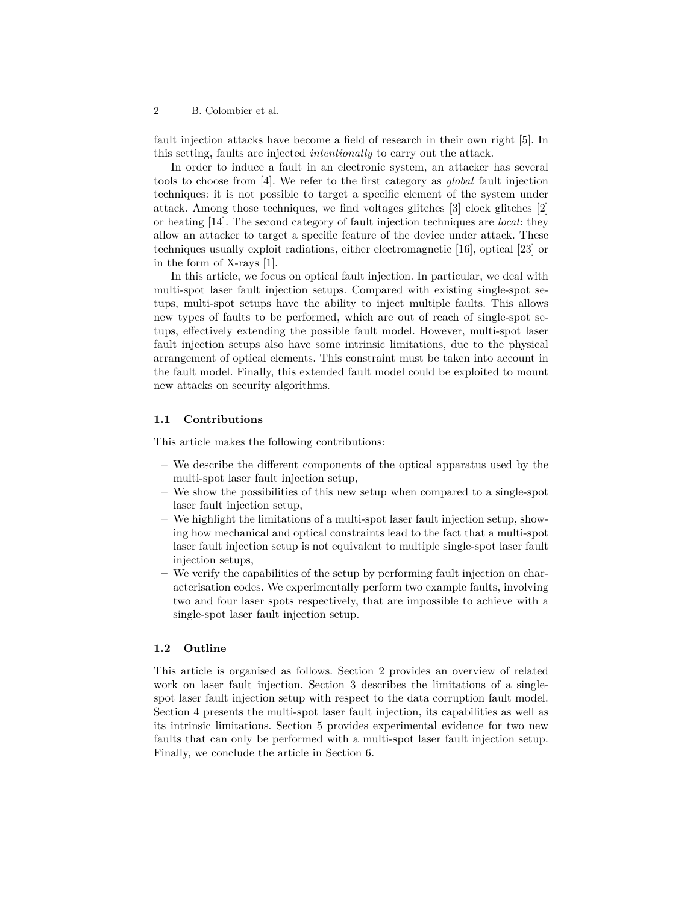fault injection attacks have become a field of research in their own right [5]. In this setting, faults are injected *intentionally* to carry out the attack.

In order to induce a fault in an electronic system, an attacker has several tools to choose from [4]. We refer to the first category as *global* fault injection techniques: it is not possible to target a specific element of the system under attack. Among those techniques, we find voltages glitches [3] clock glitches [2] or heating [14]. The second category of fault injection techniques are *local*: they allow an attacker to target a specific feature of the device under attack. These techniques usually exploit radiations, either electromagnetic [16], optical [23] or in the form of X-rays [1].

In this article, we focus on optical fault injection. In particular, we deal with multi-spot laser fault injection setups. Compared with existing single-spot setups, multi-spot setups have the ability to inject multiple faults. This allows new types of faults to be performed, which are out of reach of single-spot setups, effectively extending the possible fault model. However, multi-spot laser fault injection setups also have some intrinsic limitations, due to the physical arrangement of optical elements. This constraint must be taken into account in the fault model. Finally, this extended fault model could be exploited to mount new attacks on security algorithms.

#### **1.1 Contributions**

This article makes the following contributions:

- **–** We describe the different components of the optical apparatus used by the multi-spot laser fault injection setup,
- **–** We show the possibilities of this new setup when compared to a single-spot laser fault injection setup,
- **–** We highlight the limitations of a multi-spot laser fault injection setup, showing how mechanical and optical constraints lead to the fact that a multi-spot laser fault injection setup is not equivalent to multiple single-spot laser fault injection setups,
- **–** We verify the capabilities of the setup by performing fault injection on characterisation codes. We experimentally perform two example faults, involving two and four laser spots respectively, that are impossible to achieve with a single-spot laser fault injection setup.

#### **1.2 Outline**

This article is organised as follows. Section 2 provides an overview of related work on laser fault injection. Section 3 describes the limitations of a singlespot laser fault injection setup with respect to the data corruption fault model. Section 4 presents the multi-spot laser fault injection, its capabilities as well as its intrinsic limitations. Section 5 provides experimental evidence for two new faults that can only be performed with a multi-spot laser fault injection setup. Finally, we conclude the article in Section 6.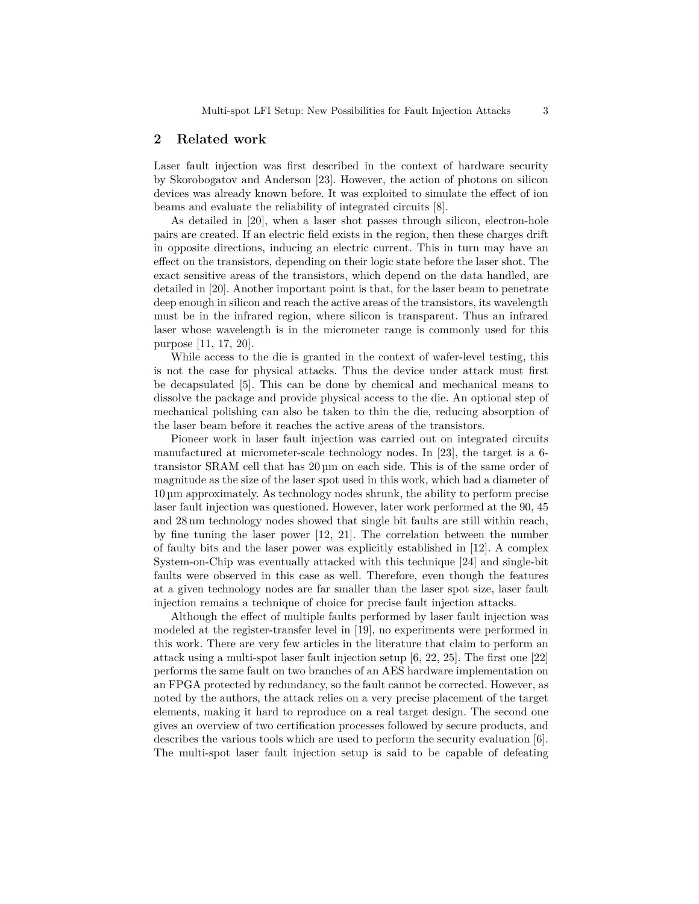### **2 Related work**

Laser fault injection was first described in the context of hardware security by Skorobogatov and Anderson [23]. However, the action of photons on silicon devices was already known before. It was exploited to simulate the effect of ion beams and evaluate the reliability of integrated circuits [8].

As detailed in [20], when a laser shot passes through silicon, electron-hole pairs are created. If an electric field exists in the region, then these charges drift in opposite directions, inducing an electric current. This in turn may have an effect on the transistors, depending on their logic state before the laser shot. The exact sensitive areas of the transistors, which depend on the data handled, are detailed in [20]. Another important point is that, for the laser beam to penetrate deep enough in silicon and reach the active areas of the transistors, its wavelength must be in the infrared region, where silicon is transparent. Thus an infrared laser whose wavelength is in the micrometer range is commonly used for this purpose [11, 17, 20].

While access to the die is granted in the context of wafer-level testing, this is not the case for physical attacks. Thus the device under attack must first be decapsulated [5]. This can be done by chemical and mechanical means to dissolve the package and provide physical access to the die. An optional step of mechanical polishing can also be taken to thin the die, reducing absorption of the laser beam before it reaches the active areas of the transistors.

Pioneer work in laser fault injection was carried out on integrated circuits manufactured at micrometer-scale technology nodes. In [23], the target is a 6 transistor SRAM cell that has 20 µm on each side. This is of the same order of magnitude as the size of the laser spot used in this work, which had a diameter of 10 µm approximately. As technology nodes shrunk, the ability to perform precise laser fault injection was questioned. However, later work performed at the 90, 45 and 28 nm technology nodes showed that single bit faults are still within reach, by fine tuning the laser power [12, 21]. The correlation between the number of faulty bits and the laser power was explicitly established in [12]. A complex System-on-Chip was eventually attacked with this technique [24] and single-bit faults were observed in this case as well. Therefore, even though the features at a given technology nodes are far smaller than the laser spot size, laser fault injection remains a technique of choice for precise fault injection attacks.

Although the effect of multiple faults performed by laser fault injection was modeled at the register-transfer level in [19], no experiments were performed in this work. There are very few articles in the literature that claim to perform an attack using a multi-spot laser fault injection setup [6, 22, 25]. The first one [22] performs the same fault on two branches of an AES hardware implementation on an FPGA protected by redundancy, so the fault cannot be corrected. However, as noted by the authors, the attack relies on a very precise placement of the target elements, making it hard to reproduce on a real target design. The second one gives an overview of two certification processes followed by secure products, and describes the various tools which are used to perform the security evaluation [6]. The multi-spot laser fault injection setup is said to be capable of defeating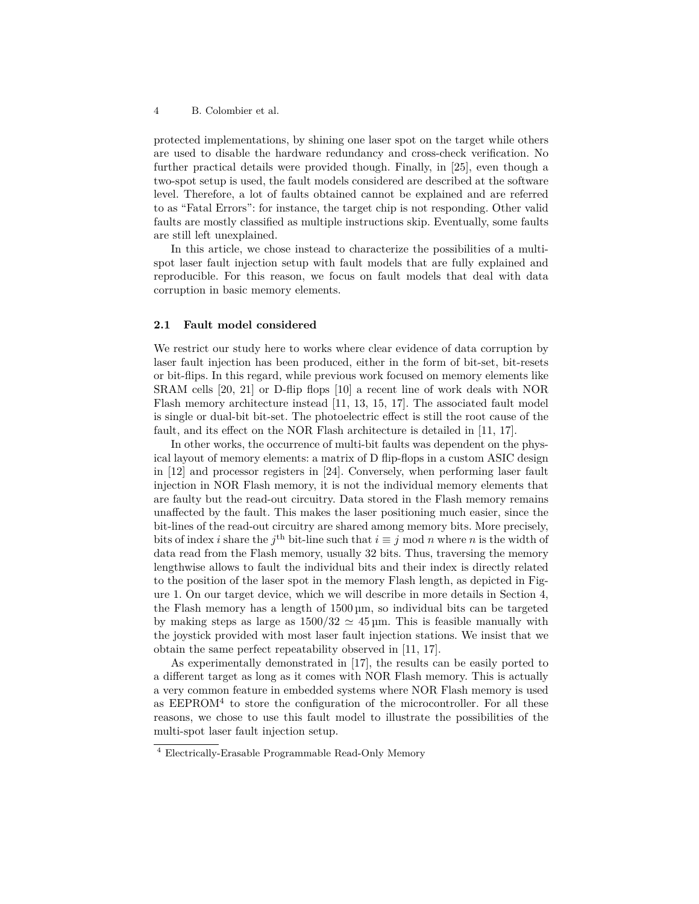protected implementations, by shining one laser spot on the target while others are used to disable the hardware redundancy and cross-check verification. No further practical details were provided though. Finally, in [25], even though a two-spot setup is used, the fault models considered are described at the software level. Therefore, a lot of faults obtained cannot be explained and are referred to as "Fatal Errors": for instance, the target chip is not responding. Other valid faults are mostly classified as multiple instructions skip. Eventually, some faults are still left unexplained.

In this article, we chose instead to characterize the possibilities of a multispot laser fault injection setup with fault models that are fully explained and reproducible. For this reason, we focus on fault models that deal with data corruption in basic memory elements.

#### **2.1 Fault model considered**

We restrict our study here to works where clear evidence of data corruption by laser fault injection has been produced, either in the form of bit-set, bit-resets or bit-flips. In this regard, while previous work focused on memory elements like SRAM cells [20, 21] or D-flip flops [10] a recent line of work deals with NOR Flash memory architecture instead [11, 13, 15, 17]. The associated fault model is single or dual-bit bit-set. The photoelectric effect is still the root cause of the fault, and its effect on the NOR Flash architecture is detailed in [11, 17].

In other works, the occurrence of multi-bit faults was dependent on the physical layout of memory elements: a matrix of D flip-flops in a custom ASIC design in [12] and processor registers in [24]. Conversely, when performing laser fault injection in NOR Flash memory, it is not the individual memory elements that are faulty but the read-out circuitry. Data stored in the Flash memory remains unaffected by the fault. This makes the laser positioning much easier, since the bit-lines of the read-out circuitry are shared among memory bits. More precisely, bits of index *i* share the *j*<sup>th</sup> bit-line such that  $i \equiv j \mod n$  where *n* is the width of data read from the Flash memory, usually 32 bits. Thus, traversing the memory lengthwise allows to fault the individual bits and their index is directly related to the position of the laser spot in the memory Flash length, as depicted in Figure 1. On our target device, which we will describe in more details in Section 4, the Flash memory has a length of 1500 µm, so individual bits can be targeted by making steps as large as  $1500/32 \simeq 45 \,\text{\upmu m}$ . This is feasible manually with the joystick provided with most laser fault injection stations. We insist that we obtain the same perfect repeatability observed in [11, 17].

As experimentally demonstrated in [17], the results can be easily ported to a different target as long as it comes with NOR Flash memory. This is actually a very common feature in embedded systems where NOR Flash memory is used as  $EEPROM<sup>4</sup>$  to store the configuration of the microcontroller. For all these reasons, we chose to use this fault model to illustrate the possibilities of the multi-spot laser fault injection setup.

<sup>4</sup> Electrically-Erasable Programmable Read-Only Memory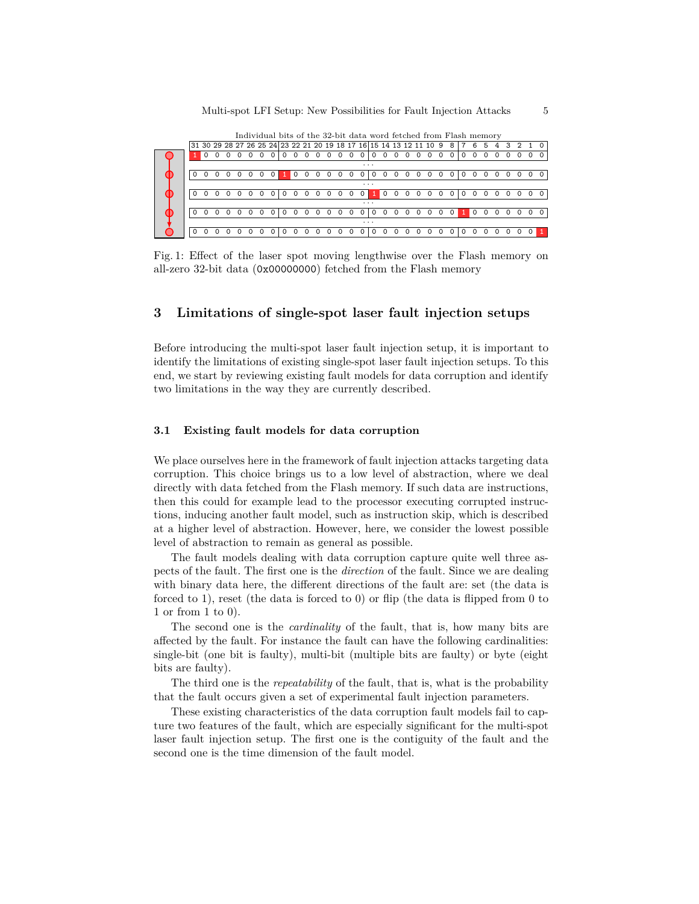|  |  |  |  |          |          |          |          |          |                         |          |                                                                     |        |   | Individual bits of the 32-bit data word fetched from Flash memory |          |   |   |   |    |  |  |
|--|--|--|--|----------|----------|----------|----------|----------|-------------------------|----------|---------------------------------------------------------------------|--------|---|-------------------------------------------------------------------|----------|---|---|---|----|--|--|
|  |  |  |  |          |          |          |          |          |                         |          | 31 30 29 28 27 26 25 24 23 22 21 20 19 18 17 16 15 14 13 12 11 10 9 |        |   | 8                                                                 |          | 6 | 5 |   | 3  |  |  |
|  |  |  |  |          | $\Omega$ | $\Omega$ | $\Omega$ | $\Omega$ |                         |          |                                                                     | 0      |   |                                                                   |          |   |   | 0 |    |  |  |
|  |  |  |  |          |          |          |          |          | $\cdots$                |          |                                                                     |        |   |                                                                   |          |   |   |   |    |  |  |
|  |  |  |  |          | ∩        |          |          |          |                         |          |                                                                     |        |   |                                                                   |          |   |   |   |    |  |  |
|  |  |  |  |          |          |          |          |          | $\cdots$                |          |                                                                     |        |   |                                                                   |          |   |   |   |    |  |  |
|  |  |  |  | $\Omega$ | ∩        |          |          |          |                         | $\Omega$ |                                                                     | $\cap$ | ∩ |                                                                   | $\Omega$ |   |   |   |    |  |  |
|  |  |  |  |          |          |          |          |          | $\cdots$                |          |                                                                     |        |   |                                                                   |          |   |   |   |    |  |  |
|  |  |  |  | $\Omega$ |          |          |          | Ω        |                         |          |                                                                     | 0      |   |                                                                   |          |   |   | ი | O) |  |  |
|  |  |  |  |          |          |          |          |          | $\cdot$ $\cdot$ $\cdot$ |          |                                                                     |        |   |                                                                   |          |   |   |   |    |  |  |
|  |  |  |  |          |          |          |          |          |                         |          |                                                                     |        |   |                                                                   |          |   |   |   |    |  |  |

Fig. 1: Effect of the laser spot moving lengthwise over the Flash memory on all-zero 32-bit data (0x00000000) fetched from the Flash memory

# **3 Limitations of single-spot laser fault injection setups**

Before introducing the multi-spot laser fault injection setup, it is important to identify the limitations of existing single-spot laser fault injection setups. To this end, we start by reviewing existing fault models for data corruption and identify two limitations in the way they are currently described.

#### **3.1 Existing fault models for data corruption**

We place ourselves here in the framework of fault injection attacks targeting data corruption. This choice brings us to a low level of abstraction, where we deal directly with data fetched from the Flash memory. If such data are instructions, then this could for example lead to the processor executing corrupted instructions, inducing another fault model, such as instruction skip, which is described at a higher level of abstraction. However, here, we consider the lowest possible level of abstraction to remain as general as possible.

The fault models dealing with data corruption capture quite well three aspects of the fault. The first one is the *direction* of the fault. Since we are dealing with binary data here, the different directions of the fault are: set (the data is forced to 1), reset (the data is forced to 0) or flip (the data is flipped from 0 to 1 or from 1 to 0).

The second one is the *cardinality* of the fault, that is, how many bits are affected by the fault. For instance the fault can have the following cardinalities: single-bit (one bit is faulty), multi-bit (multiple bits are faulty) or byte (eight bits are faulty).

The third one is the *repeatability* of the fault, that is, what is the probability that the fault occurs given a set of experimental fault injection parameters.

These existing characteristics of the data corruption fault models fail to capture two features of the fault, which are especially significant for the multi-spot laser fault injection setup. The first one is the contiguity of the fault and the second one is the time dimension of the fault model.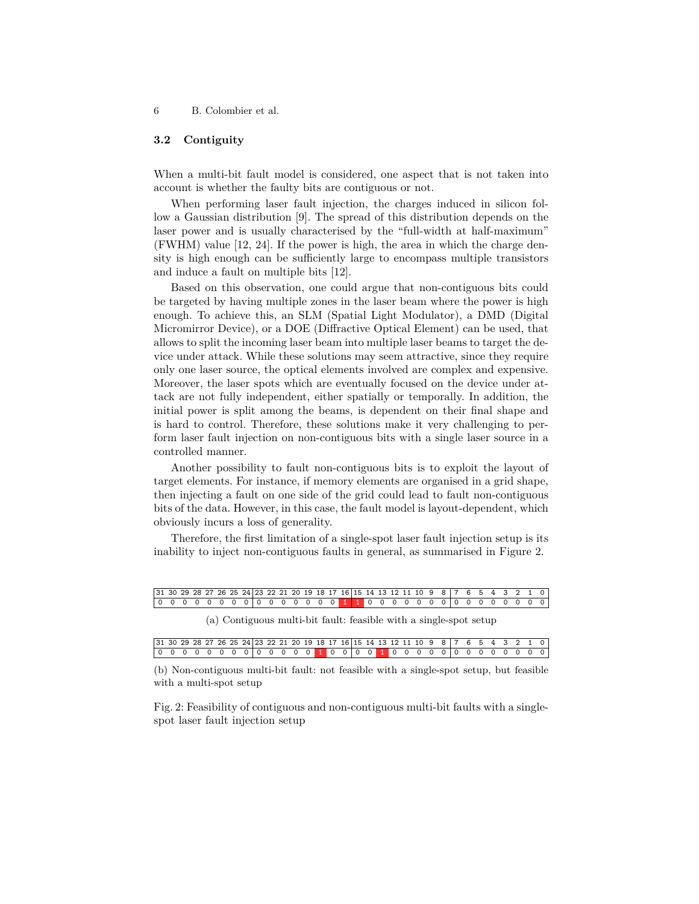#### **3.2 Contiguity**

When a multi-bit fault model is considered, one aspect that is not taken into account is whether the faulty bits are contiguous or not.

When performing laser fault injection, the charges induced in silicon follow a Gaussian distribution [9]. The spread of this distribution depends on the laser power and is usually characterised by the "full-width at half-maximum" (FWHM) value [12, 24]. If the power is high, the area in which the charge density is high enough can be sufficiently large to encompass multiple transistors and induce a fault on multiple bits [12].

Based on this observation, one could argue that non-contiguous bits could be targeted by having multiple zones in the laser beam where the power is high enough. To achieve this, an SLM (Spatial Light Modulator), a DMD (Digital Micromirror Device), or a DOE (Diffractive Optical Element) can be used, that allows to split the incoming laser beam into multiple laser beams to target the device under attack. While these solutions may seem attractive, since they require only one laser source, the optical elements involved are complex and expensive. Moreover, the laser spots which are eventually focused on the device under attack are not fully independent, either spatially or temporally. In addition, the initial power is split among the beams, is dependent on their final shape and is hard to control. Therefore, these solutions make it very challenging to perform laser fault injection on non-contiguous bits with a single laser source in a controlled manner.

Another possibility to fault non-contiguous bits is to exploit the layout of target elements. For instance, if memory elements are organised in a grid shape, then injecting a fault on one side of the grid could lead to fault non-contiguous bits of the data. However, in this case, the fault model is layout-dependent, which obviously incurs a loss of generality.

Therefore, the first limitation of a single-spot laser fault injection setup is its inability to inject non-contiguous faults in general, as summarised in Figure 2.

|  |  |  |  |  |  |  |  |  |  | 31 30 29 28 27 26 25 24 23 22 21 20 19 18 17 16 15 14 13 12 11 10 9 8 7 6 5 4 3 2 1 0 |  |  |  |  |  |
|--|--|--|--|--|--|--|--|--|--|---------------------------------------------------------------------------------------|--|--|--|--|--|
|  |  |  |  |  |  |  |  |  |  |                                                                                       |  |  |  |  |  |

(a) Contiguous multi-bit fault: feasible with a single-spot setup

|  |  |  |  |  |  |  |  |  |  | 31 30 29 28 27 26 25 24 23 22 21 20 19 18 17 16 15 14 13 12 11 10 9 8 7 6 5 4 3 2 1 0 |  |  |  |  |  |
|--|--|--|--|--|--|--|--|--|--|---------------------------------------------------------------------------------------|--|--|--|--|--|
|  |  |  |  |  |  |  |  |  |  |                                                                                       |  |  |  |  |  |

(b) Non-contiguous multi-bit fault: not feasible with a single-spot setup, but feasible with a multi-spot setup

Fig. 2: Feasibility of contiguous and non-contiguous multi-bit faults with a singlespot laser fault injection setup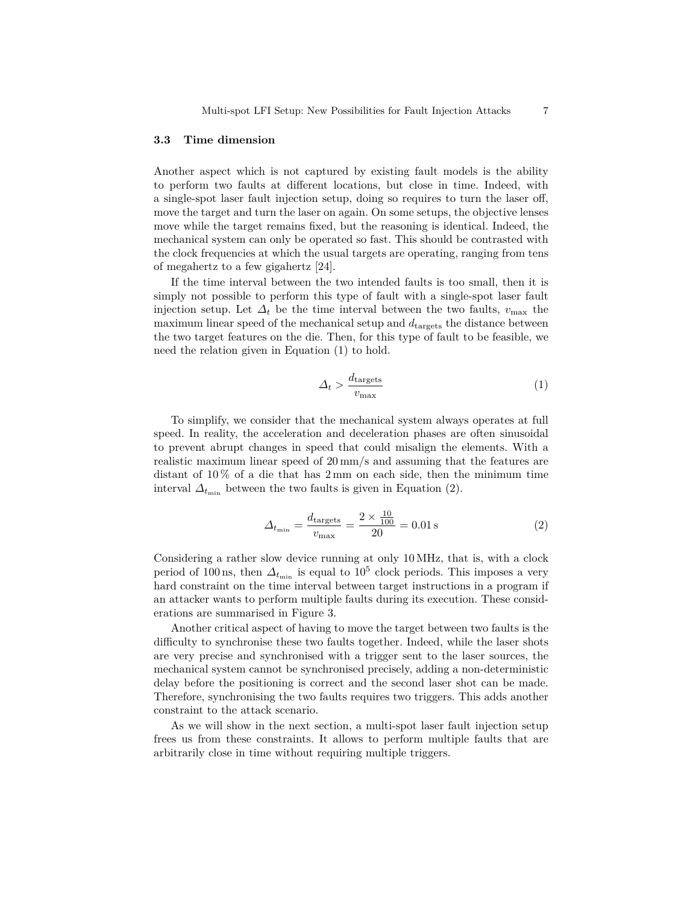#### **3.3 Time dimension**

Another aspect which is not captured by existing fault models is the ability to perform two faults at different locations, but close in time. Indeed, with a single-spot laser fault injection setup, doing so requires to turn the laser off, move the target and turn the laser on again. On some setups, the objective lenses move while the target remains fixed, but the reasoning is identical. Indeed, the mechanical system can only be operated so fast. This should be contrasted with the clock frequencies at which the usual targets are operating, ranging from tens of megahertz to a few gigahertz [24].

If the time interval between the two intended faults is too small, then it is simply not possible to perform this type of fault with a single-spot laser fault injection setup. Let  $\Delta_t$  be the time interval between the two faults,  $v_{\text{max}}$  the maximum linear speed of the mechanical setup and  $d_{\text{targets}}$  the distance between the two target features on the die. Then, for this type of fault to be feasible, we need the relation given in Equation (1) to hold.

$$
\Delta_t > \frac{d_{\text{targets}}}{v_{\text{max}}} \tag{1}
$$

To simplify, we consider that the mechanical system always operates at full speed. In reality, the acceleration and deceleration phases are often sinusoidal to prevent abrupt changes in speed that could misalign the elements. With a realistic maximum linear speed of 20 mm/s and assuming that the features are distant of  $10\%$  of a die that has  $2 \text{ mm}$  on each side, then the minimum time interval  $\Delta_{t_{\min}}$  between the two faults is given in Equation (2).

$$
\Delta_{t_{\min}} = \frac{d_{\text{targets}}}{v_{\max}} = \frac{2 \times \frac{10}{100}}{20} = 0.01 \,\text{s} \tag{2}
$$

Considering a rather slow device running at only 10 MHz, that is, with a clock period of 100 ns, then  $\Delta_{t_{\min}}$  is equal to 10<sup>5</sup> clock periods. This imposes a very hard constraint on the time interval between target instructions in a program if an attacker wants to perform multiple faults during its execution. These considerations are summarised in Figure 3.

Another critical aspect of having to move the target between two faults is the difficulty to synchronise these two faults together. Indeed, while the laser shots are very precise and synchronised with a trigger sent to the laser sources, the mechanical system cannot be synchronised precisely, adding a non-deterministic delay before the positioning is correct and the second laser shot can be made. Therefore, synchronising the two faults requires two triggers. This adds another constraint to the attack scenario.

As we will show in the next section, a multi-spot laser fault injection setup frees us from these constraints. It allows to perform multiple faults that are arbitrarily close in time without requiring multiple triggers.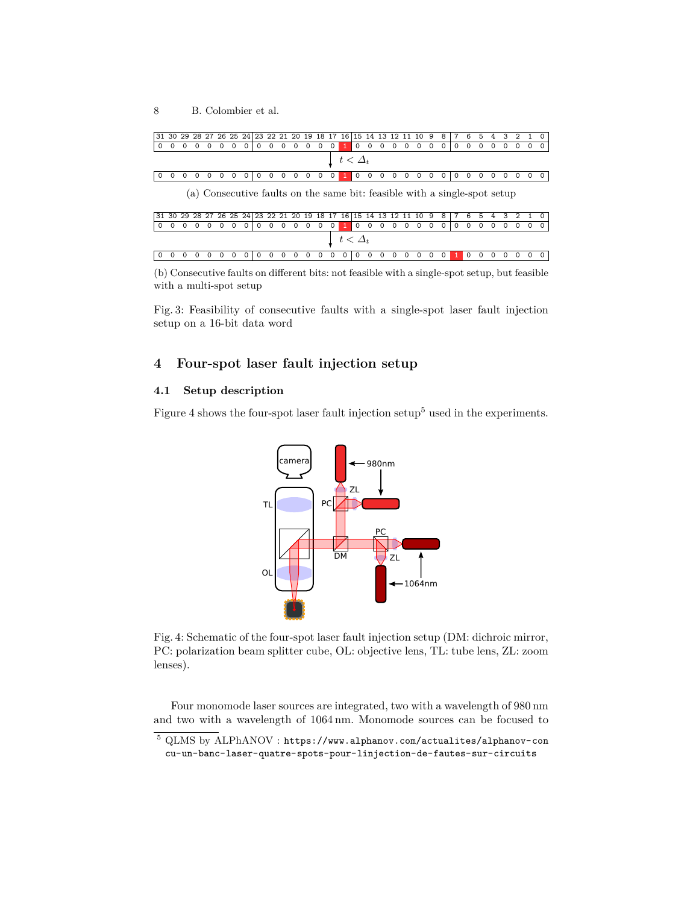|                                                                           | 31 30 29 28 27 26 25 24 23 22 21 20 19 18 17 16 15 14 13 12 |  |  |  |  |  |          |          |  |  |  |  |  |              |  |  | 10.9                                                                | 8 | 6 | 5 |  |  |  |
|---------------------------------------------------------------------------|-------------------------------------------------------------|--|--|--|--|--|----------|----------|--|--|--|--|--|--------------|--|--|---------------------------------------------------------------------|---|---|---|--|--|--|
|                                                                           |                                                             |  |  |  |  |  | $\Omega$ | $\Omega$ |  |  |  |  |  |              |  |  |                                                                     |   |   |   |  |  |  |
| $t<\Delta_t$                                                              |                                                             |  |  |  |  |  |          |          |  |  |  |  |  |              |  |  |                                                                     |   |   |   |  |  |  |
|                                                                           |                                                             |  |  |  |  |  |          |          |  |  |  |  |  |              |  |  |                                                                     |   |   |   |  |  |  |
| (a) Consecutive faults on the same bit: feasible with a single-spot setup |                                                             |  |  |  |  |  |          |          |  |  |  |  |  |              |  |  |                                                                     |   |   |   |  |  |  |
|                                                                           |                                                             |  |  |  |  |  |          |          |  |  |  |  |  |              |  |  |                                                                     |   |   |   |  |  |  |
|                                                                           |                                                             |  |  |  |  |  |          |          |  |  |  |  |  |              |  |  | 31 30 29 28 27 26 25 24 23 22 21 20 19 18 17 16 15 14 13 12 11 10 9 | 8 | 6 | 5 |  |  |  |
|                                                                           |                                                             |  |  |  |  |  |          |          |  |  |  |  |  |              |  |  |                                                                     |   |   |   |  |  |  |
|                                                                           |                                                             |  |  |  |  |  |          |          |  |  |  |  |  | $t<\Delta_t$ |  |  |                                                                     |   |   |   |  |  |  |

(b) Consecutive faults on different bits: not feasible with a single-spot setup, but feasible with a multi-spot setup

Fig. 3: Feasibility of consecutive faults with a single-spot laser fault injection setup on a 16-bit data word

# **4 Four-spot laser fault injection setup**

#### **4.1 Setup description**

Figure 4 shows the four-spot laser fault injection setup<sup>5</sup> used in the experiments.



Fig. 4: Schematic of the four-spot laser fault injection setup (DM: dichroic mirror, PC: polarization beam splitter cube, OL: objective lens, TL: tube lens, ZL: zoom lenses).

Four monomode laser sources are integrated, two with a wavelength of 980 nm and two with a wavelength of 1064 nm. Monomode sources can be focused to

 $5$  QLMS by ALPhANOV : https://www.alphanov.com/actualites/alphanov-con cu-un-banc-laser-quatre-spots-pour-linjection-de-fautes-sur-circuits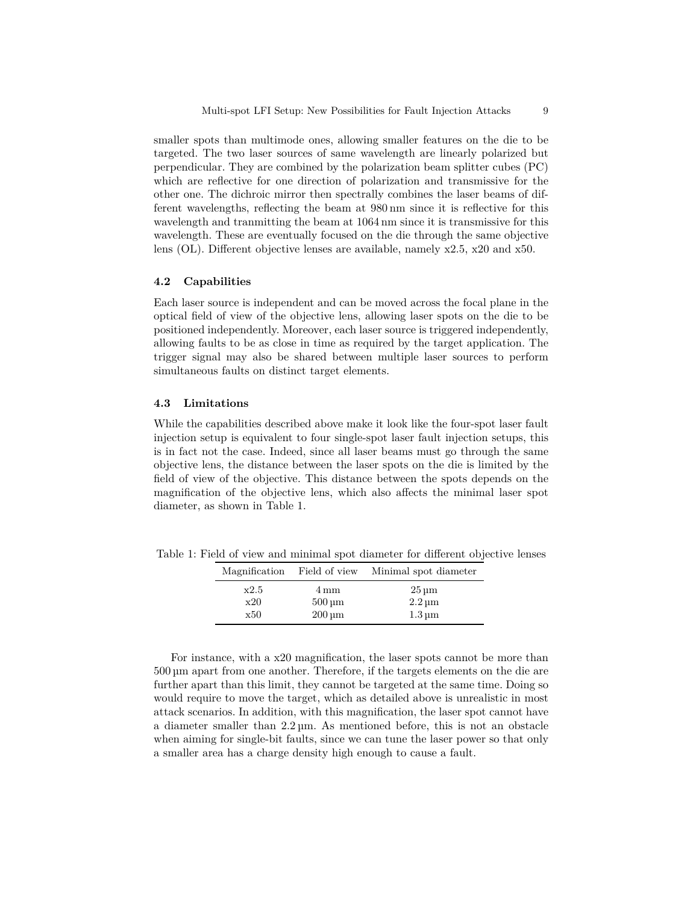smaller spots than multimode ones, allowing smaller features on the die to be targeted. The two laser sources of same wavelength are linearly polarized but perpendicular. They are combined by the polarization beam splitter cubes (PC) which are reflective for one direction of polarization and transmissive for the other one. The dichroic mirror then spectrally combines the laser beams of different wavelengths, reflecting the beam at 980 nm since it is reflective for this wavelength and tranmitting the beam at 1064 nm since it is transmissive for this wavelength. These are eventually focused on the die through the same objective lens (OL). Different objective lenses are available, namely x2.5, x20 and x50.

#### **4.2 Capabilities**

Each laser source is independent and can be moved across the focal plane in the optical field of view of the objective lens, allowing laser spots on the die to be positioned independently. Moreover, each laser source is triggered independently, allowing faults to be as close in time as required by the target application. The trigger signal may also be shared between multiple laser sources to perform simultaneous faults on distinct target elements.

#### **4.3 Limitations**

While the capabilities described above make it look like the four-spot laser fault injection setup is equivalent to four single-spot laser fault injection setups, this is in fact not the case. Indeed, since all laser beams must go through the same objective lens, the distance between the laser spots on the die is limited by the field of view of the objective. This distance between the spots depends on the magnification of the objective lens, which also affects the minimal laser spot diameter, as shown in Table 1.

Magnification Field of view Minimal spot diameter x2.5 4 mm 25 µm x20 500 µm 2.2 µm x50 200 µm 1.3 µm

Table 1: Field of view and minimal spot diameter for different objective lenses

For instance, with a x20 magnification, the laser spots cannot be more than 500 µm apart from one another. Therefore, if the targets elements on the die are further apart than this limit, they cannot be targeted at the same time. Doing so would require to move the target, which as detailed above is unrealistic in most attack scenarios. In addition, with this magnification, the laser spot cannot have a diameter smaller than 2.2 µm. As mentioned before, this is not an obstacle when aiming for single-bit faults, since we can tune the laser power so that only a smaller area has a charge density high enough to cause a fault.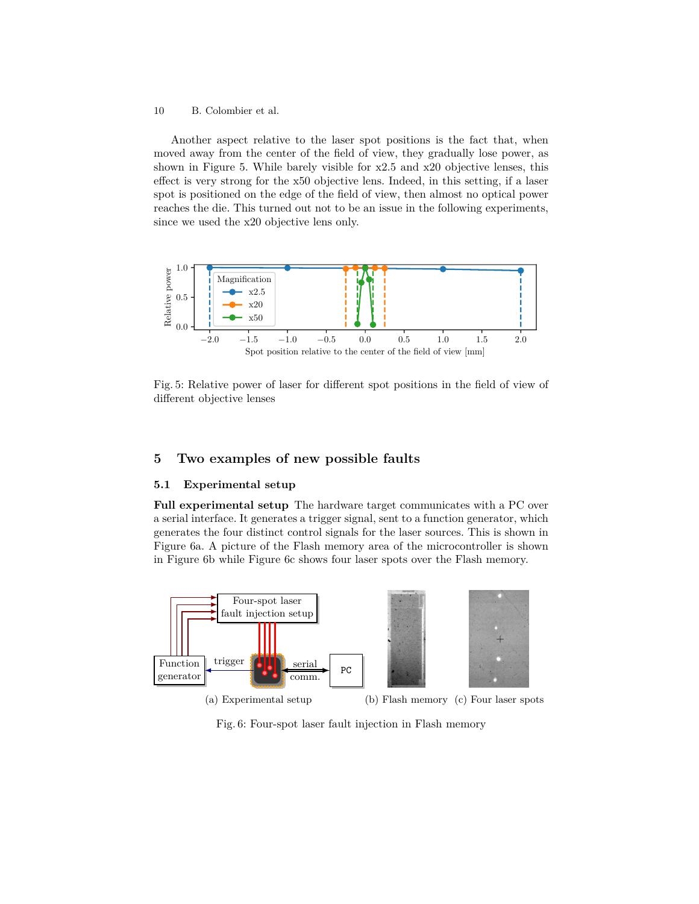Another aspect relative to the laser spot positions is the fact that, when moved away from the center of the field of view, they gradually lose power, as shown in Figure 5. While barely visible for x2.5 and x20 objective lenses, this effect is very strong for the x50 objective lens. Indeed, in this setting, if a laser spot is positioned on the edge of the field of view, then almost no optical power reaches the die. This turned out not to be an issue in the following experiments, since we used the x20 objective lens only.



Fig. 5: Relative power of laser for different spot positions in the field of view of different objective lenses

# **5 Two examples of new possible faults**

#### **5.1 Experimental setup**

**Full experimental setup** The hardware target communicates with a PC over a serial interface. It generates a trigger signal, sent to a function generator, which generates the four distinct control signals for the laser sources. This is shown in Figure 6a. A picture of the Flash memory area of the microcontroller is shown in Figure 6b while Figure 6c shows four laser spots over the Flash memory.



Fig. 6: Four-spot laser fault injection in Flash memory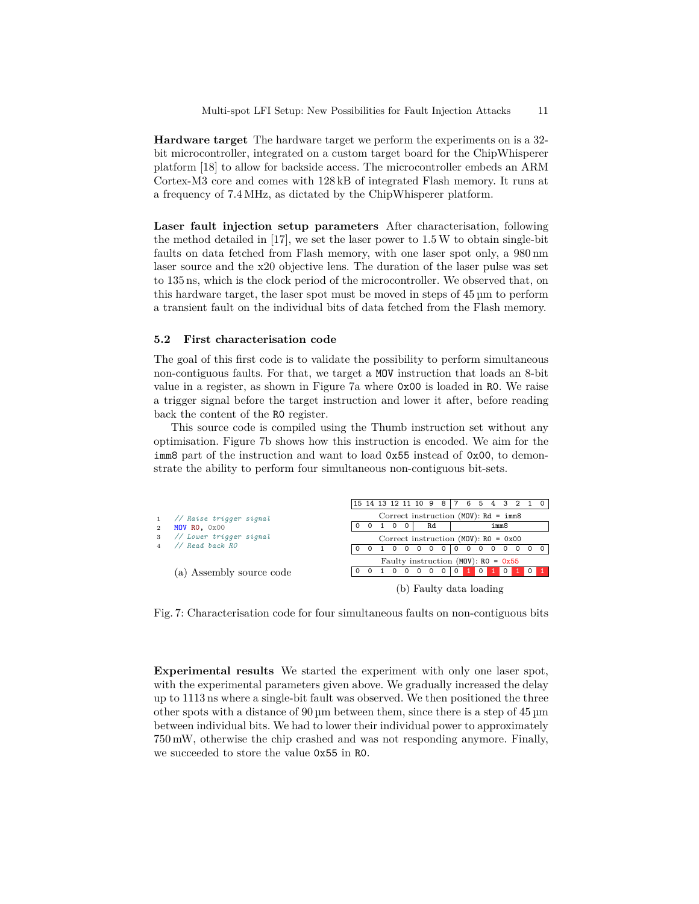**Hardware target** The hardware target we perform the experiments on is a 32 bit microcontroller, integrated on a custom target board for the ChipWhisperer platform [18] to allow for backside access. The microcontroller embeds an ARM Cortex-M3 core and comes with 128 kB of integrated Flash memory. It runs at a frequency of 7.4 MHz, as dictated by the ChipWhisperer platform.

**Laser fault injection setup parameters** After characterisation, following the method detailed in [17], we set the laser power to 1.5W to obtain single-bit faults on data fetched from Flash memory, with one laser spot only, a 980 nm laser source and the x20 objective lens. The duration of the laser pulse was set to 135 ns, which is the clock period of the microcontroller. We observed that, on this hardware target, the laser spot must be moved in steps of 45 µm to perform a transient fault on the individual bits of data fetched from the Flash memory.

#### **5.2 First characterisation code**

The goal of this first code is to validate the possibility to perform simultaneous non-contiguous faults. For that, we target a MOV instruction that loads an 8-bit value in a register, as shown in Figure 7a where 0x00 is loaded in R0. We raise a trigger signal before the target instruction and lower it after, before reading back the content of the R0 register.

This source code is compiled using the Thumb instruction set without any optimisation. Figure 7b shows how this instruction is encoded. We aim for the imm8 part of the instruction and want to load 0x55 instead of 0x00, to demonstrate the ability to perform four simultaneous non-contiguous bit-sets.



Fig. 7: Characterisation code for four simultaneous faults on non-contiguous bits

**Experimental results** We started the experiment with only one laser spot, with the experimental parameters given above. We gradually increased the delay up to 1113 ns where a single-bit fault was observed. We then positioned the three other spots with a distance of 90 µm between them, since there is a step of 45 µm between individual bits. We had to lower their individual power to approximately 750 mW, otherwise the chip crashed and was not responding anymore. Finally, we succeeded to store the value 0x55 in R0.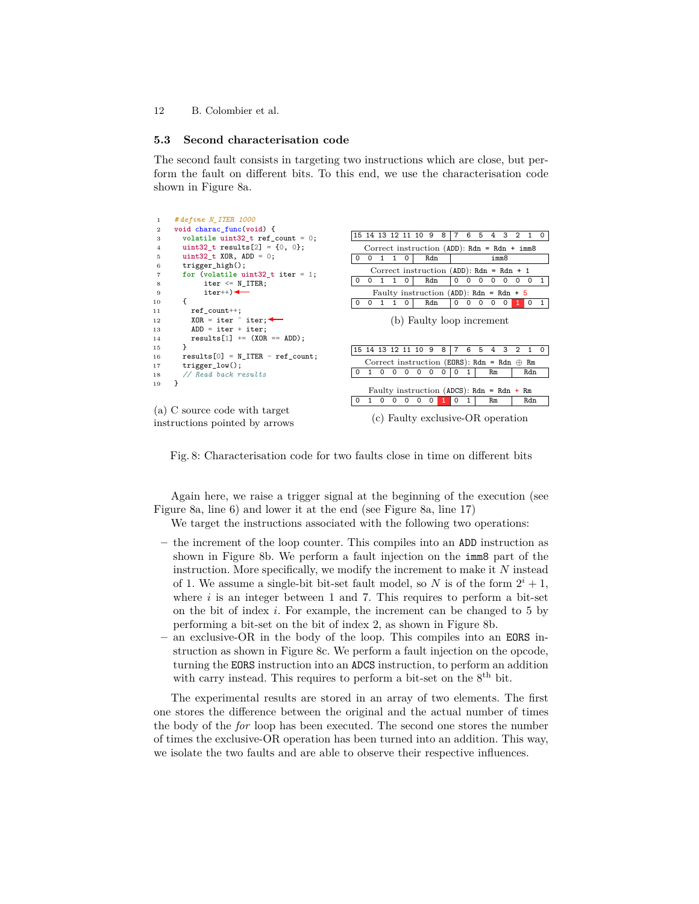#### **5.3 Second characterisation code**

The second fault consists in targeting two instructions which are close, but perform the fault on different bits. To this end, we use the characterisation code shown in Figure 8a.

| $\mathbf{1}$   | # define N_ITER 1000                                            |          |          |          |          |          |                     |                                                   |          |                |          |          |          |          |              |              |          |
|----------------|-----------------------------------------------------------------|----------|----------|----------|----------|----------|---------------------|---------------------------------------------------|----------|----------------|----------|----------|----------|----------|--------------|--------------|----------|
| $\overline{2}$ | void charac func(void) {                                        |          |          |          |          |          |                     |                                                   |          |                |          |          |          |          |              |              |          |
| 3              | volatile uint32 t ref count = $0$ ;                             |          |          |          |          |          | 15 14 13 12 11 10 9 |                                                   | 8        | $\overline{7}$ | 6        | 5        | 4        | 3        | 2            | $\mathbf{1}$ | $\Omega$ |
| $\overline{4}$ | $uint32_t results[2] = \{0, 0\};$                               |          |          |          |          |          |                     | Correct instruction (ADD): $Rdn = Rdn + imm8$     |          |                |          |          |          |          |              |              |          |
| 5              | uint32 t XOR, ADD = $0$ ;                                       |          | $\Omega$ | 1        | 1        | $\Omega$ |                     | Rdn                                               |          |                |          |          |          | imm8     |              |              |          |
| 6              | $trigger_high()$ ;                                              |          |          |          |          |          |                     |                                                   |          |                |          |          |          |          |              |              |          |
| 7              | for (volatile uint32 t iter = 1;                                |          |          |          |          |          |                     | Correct instruction (ADD): Rdn = Rdn + 1          |          |                |          |          |          |          |              |              |          |
| 8              | iter $\leq$ N ITER;                                             | $\Omega$ | $\Omega$ | 1        | 1        | $\Omega$ |                     | Rdn                                               |          | $\Omega$       | $\Omega$ | $\Omega$ | $\Omega$ | $\Omega$ |              | $0\quad 0$   | 1        |
| 9              | $iter++$ ) $\leftarrow$                                         |          |          |          |          |          |                     | Faulty instruction (ADD): Rdn = Rdn + 5           |          |                |          |          |          |          |              |              |          |
| 10             |                                                                 |          | $\Omega$ |          |          | $\Omega$ |                     | Rdn                                               |          | $\Omega$       | $\Omega$ | $\Omega$ | $\Omega$ | $\Omega$ |              | $\Omega$     |          |
| 11             | $ref$ count++;                                                  |          |          |          |          |          |                     |                                                   |          |                |          |          |          |          |              |              |          |
| 12             | $XOR = iter \hat{\ }$ iter; $\triangleleft$                     |          |          |          |          |          |                     | (b) Faulty loop increment                         |          |                |          |          |          |          |              |              |          |
| 13             | $ADD = iter + iter;$                                            |          |          |          |          |          |                     |                                                   |          |                |          |          |          |          |              |              |          |
| 14             | $results[1] += (XOR == ADD);$                                   |          |          |          |          |          |                     |                                                   |          |                |          |          |          |          |              |              |          |
| 15             | ł                                                               |          |          |          |          |          | 15 14 13 12 11 10 9 |                                                   | 8        | $\overline{7}$ | 6        | 5        | 4        | 3        | $\mathbf{2}$ |              |          |
| 16             | $results[0] = N_ITER - ref_count;$                              |          |          |          |          |          |                     |                                                   |          |                |          |          |          |          |              |              |          |
| 17             | $trigger_low();$                                                |          |          |          |          |          |                     | Correct instruction (EORS): Rdn = Rdn $\oplus$ Rm |          |                |          |          |          |          |              |              |          |
| 18             | // Read back results                                            |          |          | $\Omega$ | $\Omega$ | $\Omega$ | $\Omega$            | $\Omega$                                          | $\Omega$ | $\Omega$       |          |          | Rm       |          |              | Rdn          |          |
| 19             | ŀ                                                               |          |          |          |          |          |                     |                                                   |          |                |          |          |          |          |              |              |          |
|                |                                                                 |          |          |          |          |          |                     | Faulty instruction (ADCS): Rdn = Rdn + Rm         |          |                |          |          |          |          |              |              |          |
|                |                                                                 | $\Omega$ |          | $\Omega$ | $\Omega$ | $\Omega$ | $\Omega$            | $\Omega$                                          |          | $\Omega$       |          |          | Rm       |          |              | Rdn          |          |
|                | (a) C source code with target<br>instructions pointed by arrows |          |          |          |          |          |                     | (c) Faulty exclusive-OR operation                 |          |                |          |          |          |          |              |              |          |

Fig. 8: Characterisation code for two faults close in time on different bits

Again here, we raise a trigger signal at the beginning of the execution (see Figure 8a, line 6) and lower it at the end (see Figure 8a, line 17)

We target the instructions associated with the following two operations:

- **–** the increment of the loop counter. This compiles into an ADD instruction as shown in Figure 8b. We perform a fault injection on the imm8 part of the instruction. More specifically, we modify the increment to make it *N* instead of 1. We assume a single-bit bit-set fault model, so *N* is of the form  $2^i + 1$ , where  $i$  is an integer between 1 and 7. This requires to perform a bit-set on the bit of index *i*. For example, the increment can be changed to 5 by performing a bit-set on the bit of index 2, as shown in Figure 8b.
- **–** an exclusive-OR in the body of the loop. This compiles into an EORS instruction as shown in Figure 8c. We perform a fault injection on the opcode, turning the EORS instruction into an ADCS instruction, to perform an addition with carry instead. This requires to perform a bit-set on the  $8<sup>th</sup>$  bit.

The experimental results are stored in an array of two elements. The first one stores the difference between the original and the actual number of times the body of the *for* loop has been executed. The second one stores the number of times the exclusive-OR operation has been turned into an addition. This way, we isolate the two faults and are able to observe their respective influences.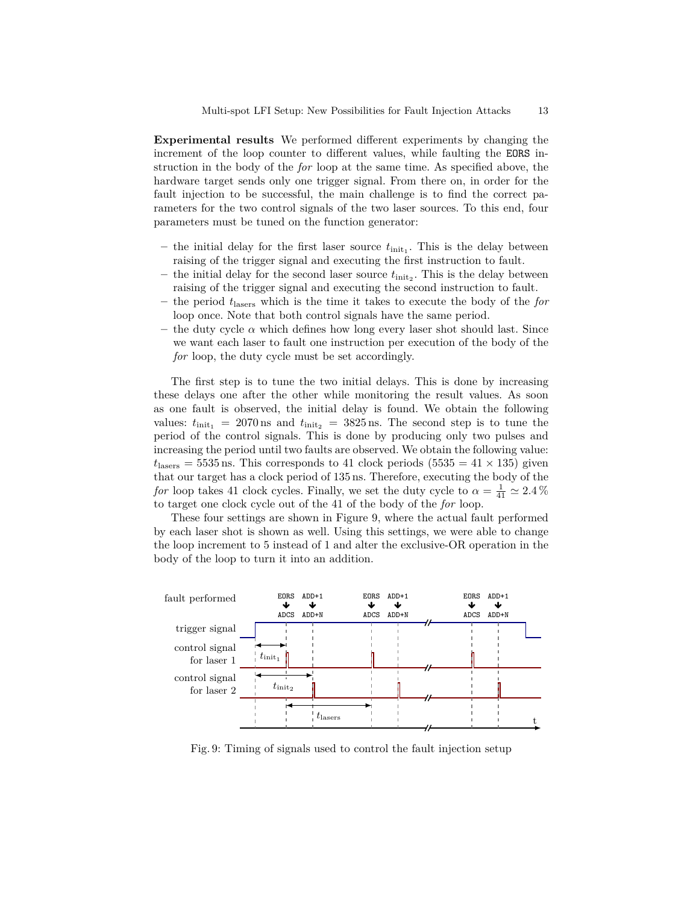**Experimental results** We performed different experiments by changing the increment of the loop counter to different values, while faulting the EORS instruction in the body of the *for* loop at the same time. As specified above, the hardware target sends only one trigger signal. From there on, in order for the fault injection to be successful, the main challenge is to find the correct parameters for the two control signals of the two laser sources. To this end, four parameters must be tuned on the function generator:

- $-$  the initial delay for the first laser source  $t_{\text{init}_1}$ . This is the delay between raising of the trigger signal and executing the first instruction to fault.
- $-$  the initial delay for the second laser source  $t_{\text{init}_2}$ . This is the delay between raising of the trigger signal and executing the second instruction to fault.
- **–** the period *t*lasers which is the time it takes to execute the body of the *for* loop once. Note that both control signals have the same period.
- **–** the duty cycle *α* which defines how long every laser shot should last. Since we want each laser to fault one instruction per execution of the body of the *for* loop, the duty cycle must be set accordingly.

The first step is to tune the two initial delays. This is done by increasing these delays one after the other while monitoring the result values. As soon as one fault is observed, the initial delay is found. We obtain the following values:  $t_{\text{init}_1} = 2070 \text{ ns}$  and  $t_{\text{init}_2} = 3825 \text{ ns}$ . The second step is to tune the period of the control signals. This is done by producing only two pulses and increasing the period until two faults are observed. We obtain the following value:  $t_{\text{lases}} = 5535 \text{ ns}$ . This corresponds to 41 clock periods (5535 = 41  $\times$  135) given that our target has a clock period of 135 ns. Therefore, executing the body of the *for* loop takes 41 clock cycles. Finally, we set the duty cycle to  $\alpha = \frac{1}{41} \approx 2.4\%$ to target one clock cycle out of the 41 of the body of the *for* loop.

These four settings are shown in Figure 9, where the actual fault performed by each laser shot is shown as well. Using this settings, we were able to change the loop increment to 5 instead of 1 and alter the exclusive-OR operation in the body of the loop to turn it into an addition.



Fig. 9: Timing of signals used to control the fault injection setup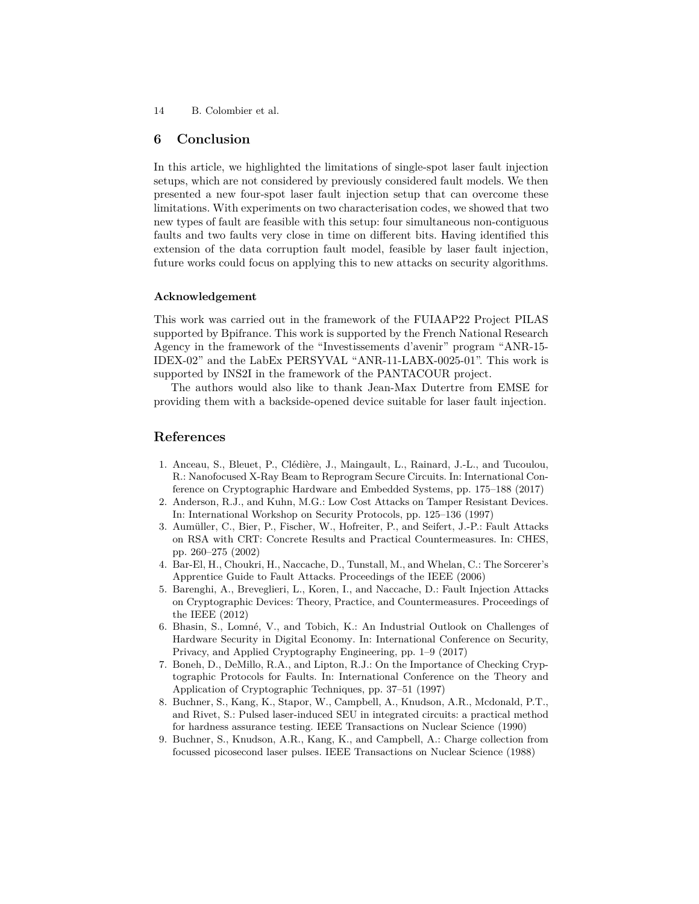## **6 Conclusion**

In this article, we highlighted the limitations of single-spot laser fault injection setups, which are not considered by previously considered fault models. We then presented a new four-spot laser fault injection setup that can overcome these limitations. With experiments on two characterisation codes, we showed that two new types of fault are feasible with this setup: four simultaneous non-contiguous faults and two faults very close in time on different bits. Having identified this extension of the data corruption fault model, feasible by laser fault injection, future works could focus on applying this to new attacks on security algorithms.

#### **Acknowledgement**

This work was carried out in the framework of the FUIAAP22 Project PILAS supported by Bpifrance. This work is supported by the French National Research Agency in the framework of the "Investissements d'avenir" program "ANR-15- IDEX-02" and the LabEx PERSYVAL "ANR-11-LABX-0025-01". This work is supported by INS2I in the framework of the PANTACOUR project.

The authors would also like to thank Jean-Max Dutertre from EMSE for providing them with a backside-opened device suitable for laser fault injection.

## **References**

- 1. Anceau, S., Bleuet, P., Clédière, J., Maingault, L., Rainard, J.-L., and Tucoulou, R.: Nanofocused X-Ray Beam to Reprogram Secure Circuits. In: International Conference on Cryptographic Hardware and Embedded Systems, pp. 175–188 (2017)
- 2. Anderson, R.J., and Kuhn, M.G.: Low Cost Attacks on Tamper Resistant Devices. In: International Workshop on Security Protocols, pp. 125–136 (1997)
- 3. Aumüller, C., Bier, P., Fischer, W., Hofreiter, P., and Seifert, J.-P.: Fault Attacks on RSA with CRT: Concrete Results and Practical Countermeasures. In: CHES, pp. 260–275 (2002)
- 4. Bar-El, H., Choukri, H., Naccache, D., Tunstall, M., and Whelan, C.: The Sorcerer's Apprentice Guide to Fault Attacks. Proceedings of the IEEE (2006)
- 5. Barenghi, A., Breveglieri, L., Koren, I., and Naccache, D.: Fault Injection Attacks on Cryptographic Devices: Theory, Practice, and Countermeasures. Proceedings of the IEEE (2012)
- 6. Bhasin, S., Lomné, V., and Tobich, K.: An Industrial Outlook on Challenges of Hardware Security in Digital Economy. In: International Conference on Security, Privacy, and Applied Cryptography Engineering, pp. 1–9 (2017)
- 7. Boneh, D., DeMillo, R.A., and Lipton, R.J.: On the Importance of Checking Cryptographic Protocols for Faults. In: International Conference on the Theory and Application of Cryptographic Techniques, pp. 37–51 (1997)
- 8. Buchner, S., Kang, K., Stapor, W., Campbell, A., Knudson, A.R., Mcdonald, P.T., and Rivet, S.: Pulsed laser-induced SEU in integrated circuits: a practical method for hardness assurance testing. IEEE Transactions on Nuclear Science (1990)
- 9. Buchner, S., Knudson, A.R., Kang, K., and Campbell, A.: Charge collection from focussed picosecond laser pulses. IEEE Transactions on Nuclear Science (1988)